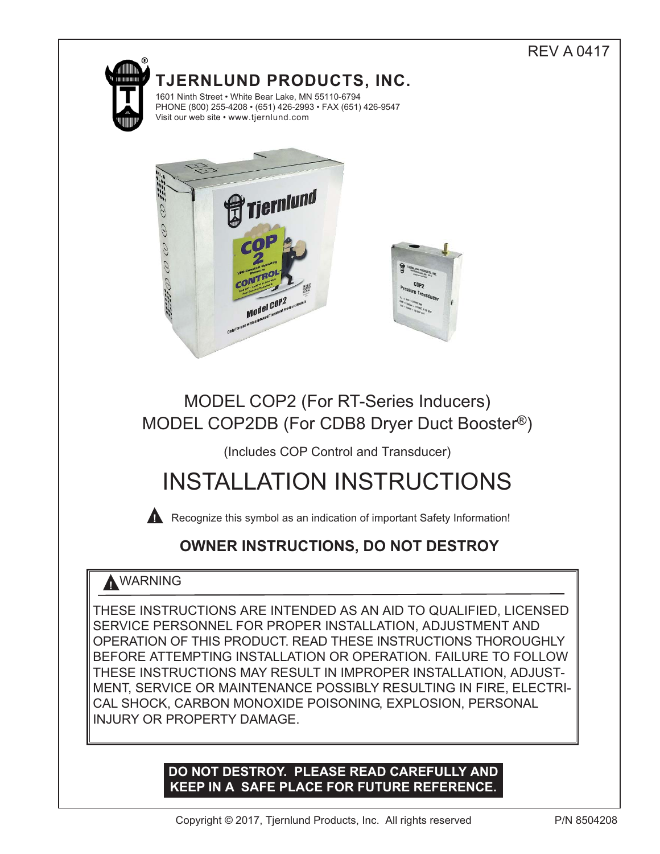# **TJERNLUND PRODUCTS, INC.** 1601 Ninth Street • White Bear Lake, MN 55110-6794 PHONE (800) 255-4208 • (651) 426-2993 • FAX (651) 426-9547 Visit our web site • www.tjernlund.com



# MODEL COP2 (For RT-Series Inducers) MODEL COP2DB (For CDB8 Dryer Duct Booster®)

## (Includes COP Control and Transducer)

# INSTALLATION INSTRUCTIONS

**A** Recognize this symbol as an indication of important Safety Information!

## **OWNER INSTRUCTIONS, DO NOT DESTROY**

## **!** WARNING

THESE INSTRUCTIONS ARE INTENDED AS AN AID TO QUALIFIED, LICENSED SERVICE PERSONNEL FOR PROPER INSTALLATION, ADJUSTMENT AND OPERATION OF THIS PRODUCT. READ THESE INSTRUCTIONS THOROUGHLY BEFORE ATTEMPTING INSTALLATION OR OPERATION. FAILURE TO FOLLOW THESE INSTRUCTIONS MAY RESULT IN IMPROPER INSTALLATION, ADJUST-MENT, SERVICE OR MAINTENANCE POSSIBLY RESULTING IN FIRE, ELECTRI-CAL SHOCK, CARBON MONOXIDE POISONING, EXPLOSION, PERSONAL INJURY OR PROPERTY DAMAGE.

### **DO NOT DESTROY. PLEASE READ CAREFULLY AND KEEP IN A SAFE PLACE FOR FUTURE REFERENCE.**

REV A 0417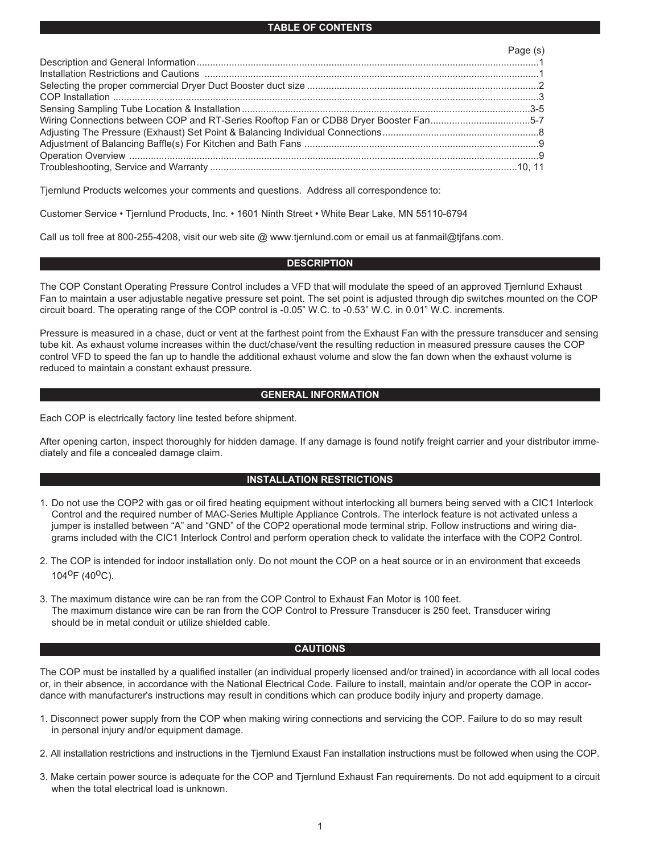#### **TABLE OF CONTENTS**

|                                                                                       | Page (s) |
|---------------------------------------------------------------------------------------|----------|
|                                                                                       |          |
|                                                                                       |          |
|                                                                                       |          |
|                                                                                       |          |
|                                                                                       |          |
| Wiring Connections between COP and RT-Series Rooftop Fan or CDB8 Dryer Booster Fan5-7 |          |
|                                                                                       |          |
|                                                                                       |          |
|                                                                                       |          |
|                                                                                       |          |

Tjernlund Products welcomes your comments and questions. Address all correspondence to:

Customer Service • Tjernlund Products, Inc. • 1601 Ninth Street • White Bear Lake, MN 55110-6794

Call us toll free at 800-255-4208, visit our web site @ www.tjernlund.com or email us at fanmail@tjfans.com.

#### **DESCRIPTION**

The COP Constant Operating Pressure Control includes a VFD that will modulate the speed of an approved Tjernlund Exhaust Fan to maintain a user adjustable negative pressure set point. The set point is adjusted through dip switches mounted on the COP circuit board. The operating range of the COP control is -0.05" W.C. to -0.53" W.C. in 0.01" W.C. increments.

Pressure is measured in a chase, duct or vent at the farthest point from the Exhaust Fan with the pressure transducer and sensing tube kit. As exhaust volume increases within the duct/chase/vent the resulting reduction in measured pressure causes the COP control VFD to speed the fan up to handle the additional exhaust volume and slow the fan down when the exhaust volume is reduced to maintain a constant exhaust pressure.

#### **GENERAL INFORMATION**

Each COP is electrically factory line tested before shipment.

After opening carton, inspect thoroughly for hidden damage. If any damage is found notify freight carrier and your distributor immediately and file a concealed damage claim.

#### **INSTALLATION RESTRICTIONS**

- 1. Do not use the COP2 with gas or oil fired heating equipment without interlocking all burners being served with a CIC1 Interlock Control and the required number of MAC-Series Multiple Appliance Controls. The interlock feature is not activated unless a jumper is installed between "A" and "GND" of the COP2 operational mode terminal strip. Follow instructions and wiring diagrams included with the CIC1 Interlock Control and perform operation check to validate the interface with the COP2 Control.
- 2. The COP is intended for indoor installation only. Do not mount the COP on a heat source or in an environment that exceeds 104oF (40oC).
- 3. The maximum distance wire can be ran from the COP Control to Exhaust Fan Motor is 100 feet. The maximum distance wire can be ran from the COP Control to Pressure Transducer is 250 feet. Transducer wiring should be in metal conduit or utilize shielded cable.

#### **CAUTIONS**

The COP must be installed by a qualified installer (an individual properly licensed and/or trained) in accordance with all local codes or, in their absence, in accordance with the National Electrical Code. Failure to install, maintain and/or operate the COP in accordance with manufacturer's instructions may result in conditions which can produce bodily injury and property damage.

- 1. Disconnect power supply from the COP when making wiring connections and servicing the COP. Failure to do so may result in personal injury and/or equipment damage.
- 2. All installation restrictions and instructions in the Tjernlund Exaust Fan installation instructions must be followed when using the COP.
- 3. Make certain power source is adequate for the COP and Tjernlund Exhaust Fan requirements. Do not add equipment to a circuit when the total electrical load is unknown.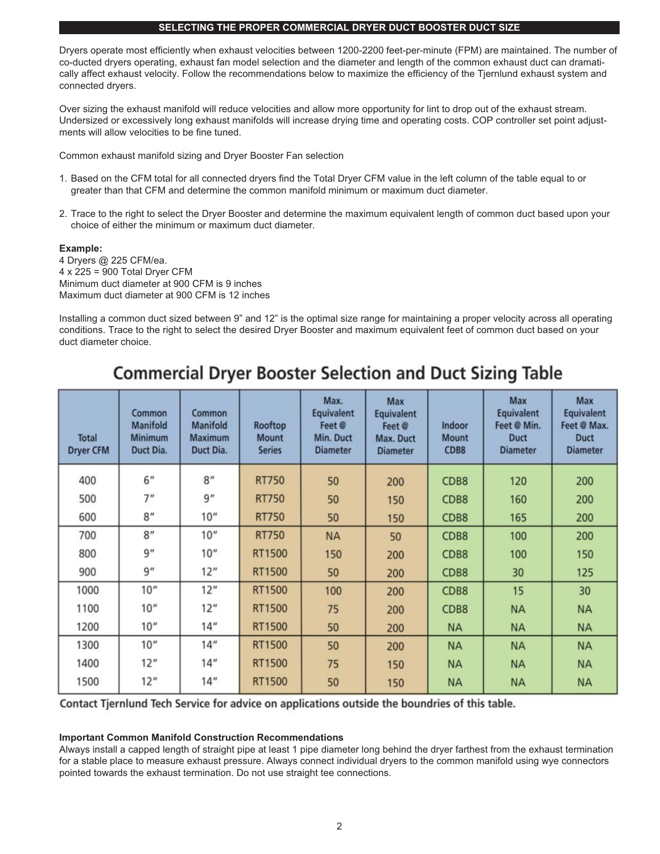#### **SELECTING THE PROPER COMMERCIAL DRYER DUCT BOOSTER DUCT SIZE**

Dryers operate most efficiently when exhaust velocities between 1200-2200 feet-per-minute (FPM) are maintained. The number of co-ducted dryers operating, exhaust fan model selection and the diameter and length of the common exhaust duct can dramatically affect exhaust velocity. Follow the recommendations below to maximize the efficiency of the Tjernlund exhaust system and connected dryers.

Over sizing the exhaust manifold will reduce velocities and allow more opportunity for lint to drop out of the exhaust stream. Undersized or excessively long exhaust manifolds will increase drying time and operating costs. COP controller set point adjustments will allow velocities to be fine tuned.

Common exhaust manifold sizing and Dryer Booster Fan selection

- 1. Based on the CFM total for all connected dryers find the Total Dryer CFM value in the left column of the table equal to or greater than that CFM and determine the common manifold minimum or maximum duct diameter.
- 2. Trace to the right to select the Dryer Booster and determine the maximum equivalent length of common duct based upon your choice of either the minimum or maximum duct diameter.

#### **Example:**

4 Dryers @ 225 CFM/ea. 4 x 225 = 900 Total Dryer CFM Minimum duct diameter at 900 CFM is 9 inches Maximum duct diameter at 900 CFM is 12 inches

Installing a common duct sized between 9" and 12" is the optimal size range for maintaining a proper velocity across all operating conditions. Trace to the right to select the desired Dryer Booster and maximum equivalent feet of common duct based on your duct diameter choice.

## **Commercial Dryer Booster Selection and Duct Sizing Table**

| <b>Total</b><br><b>Dryer CFM</b> | Common<br><b>Manifold</b><br><b>Minimum</b><br>Duct Dia. | Common<br><b>Manifold</b><br><b>Maximum</b><br>Duct Dia. | Rooftop<br><b>Mount</b><br><b>Series</b> | Max.<br><b>Equivalent</b><br>Feet @<br>Min. Duct<br><b>Diameter</b> | Max<br><b>Equivalent</b><br>Feet @<br>Max. Duct<br><b>Diameter</b> | Indoor<br><b>Mount</b><br>CDB8 | Max<br><b>Equivalent</b><br>Feet @ Min.<br><b>Duct</b><br><b>Diameter</b> | <b>Max</b><br><b>Equivalent</b><br>Feet @ Max.<br><b>Duct</b><br><b>Diameter</b> |
|----------------------------------|----------------------------------------------------------|----------------------------------------------------------|------------------------------------------|---------------------------------------------------------------------|--------------------------------------------------------------------|--------------------------------|---------------------------------------------------------------------------|----------------------------------------------------------------------------------|
| 400                              | 6"                                                       | 8"                                                       | <b>RT750</b>                             | 50                                                                  | 200                                                                | CDB8                           | 120                                                                       | 200                                                                              |
| 500                              | 7 <sup>n</sup>                                           | 9''                                                      | <b>RT750</b>                             | 50                                                                  | 150                                                                | CDB8                           | 160                                                                       | 200                                                                              |
| 600                              | 8"                                                       | 10''                                                     | <b>RT750</b>                             | 50                                                                  | 150                                                                | CDB8                           | 165                                                                       | 200                                                                              |
| 700                              | 8"                                                       | 10"                                                      | <b>RT750</b>                             | <b>NA</b>                                                           | 50                                                                 | CDB8                           | 100                                                                       | 200                                                                              |
| 800                              | 9''                                                      | 10"                                                      | RT1500                                   | 150                                                                 | 200                                                                | CDB8                           | 100                                                                       | 150                                                                              |
| 900                              | 9''                                                      | 12"                                                      | RT1500                                   | 50                                                                  | 200                                                                | CDB8                           | 30                                                                        | 125                                                                              |
| 1000                             | 10"                                                      | 12"                                                      | RT1500                                   | 100                                                                 | 200                                                                | CDB8                           | 15                                                                        | 30                                                                               |
| 1100                             | 10 <sup>''</sup>                                         | 12"                                                      | RT1500                                   | 75                                                                  | 200                                                                | CDB8                           | <b>NA</b>                                                                 | <b>NA</b>                                                                        |
| 1200                             | 10 <sup>u</sup>                                          | 14"                                                      | RT1500                                   | 50                                                                  | 200                                                                | <b>NA</b>                      | <b>NA</b>                                                                 | <b>NA</b>                                                                        |
| 1300                             | 10 <sup>''</sup>                                         | 14"                                                      | RT1500                                   | 50                                                                  | 200                                                                | <b>NA</b>                      | <b>NA</b>                                                                 | <b>NA</b>                                                                        |
| 1400                             | 12"                                                      | 14"                                                      | RT1500                                   | 75                                                                  | 150                                                                | <b>NA</b>                      | <b>NA</b>                                                                 | <b>NA</b>                                                                        |
| 1500                             | 12"                                                      | 14"                                                      | RT1500                                   | 50                                                                  | 150                                                                | <b>NA</b>                      | <b>NA</b>                                                                 | <b>NA</b>                                                                        |

Contact Tjernlund Tech Service for advice on applications outside the boundries of this table.

#### **Important Common Manifold Construction Recommendations**

Always install a capped length of straight pipe at least 1 pipe diameter long behind the dryer farthest from the exhaust termination for a stable place to measure exhaust pressure. Always connect individual dryers to the common manifold using wye connectors pointed towards the exhaust termination. Do not use straight tee connections.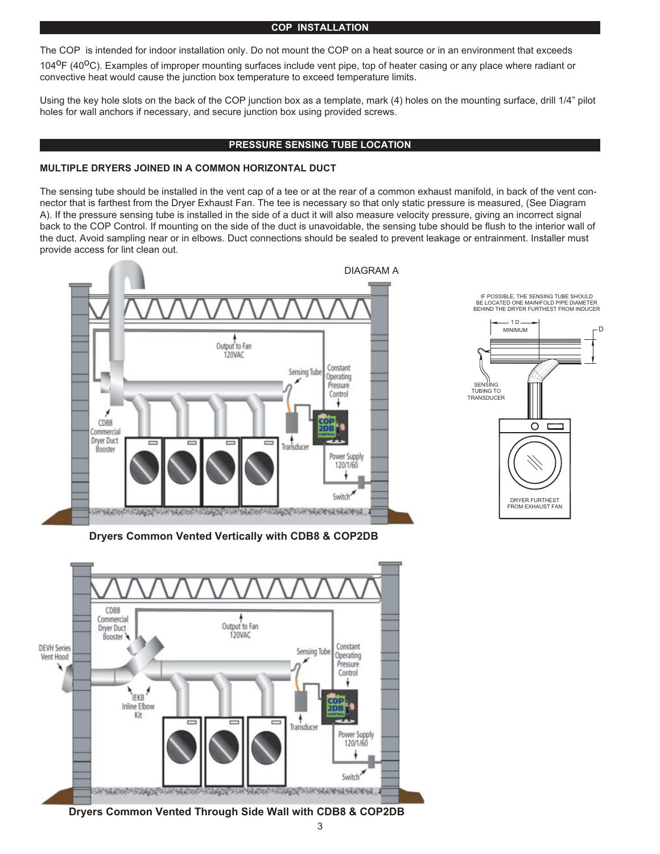#### **COP INSTALLATION**

The COP is intended for indoor installation only. Do not mount the COP on a heat source or in an environment that exceeds 104<sup>0</sup>F (40<sup>0</sup>C). Examples of improper mounting surfaces include vent pipe, top of heater casing or any place where radiant or convective heat would cause the junction box temperature to exceed temperature limits.

Using the key hole slots on the back of the COP junction box as a template, mark (4) holes on the mounting surface, drill 1/4" pilot holes for wall anchors if necessary, and secure junction box using provided screws.

#### **PRESSURE SENSING TUBE LOCATION**

#### **MULTIPLE DRYERS JOINED IN A COMMON HORIZONTAL DUCT**

The sensing tube should be installed in the vent cap of a tee or at the rear of a common exhaust manifold, in back of the vent connector that is farthest from the Dryer Exhaust Fan. The tee is necessary so that only static pressure is measured, (See Diagram A). If the pressure sensing tube is installed in the side of a duct it will also measure velocity pressure, giving an incorrect signal back to the COP Control. If mounting on the side of the duct is unavoidable, the sensing tube should be flush to the interior wall of the duct. Avoid sampling near or in elbows. Duct connections should be sealed to prevent leakage or entrainment. Installer must provide access for lint clean out.





**Dryers Common Vented Vertically with CDB8 & COP2DB**



**Dryers Common Vented Through Side Wall with CDB8 & COP2DB**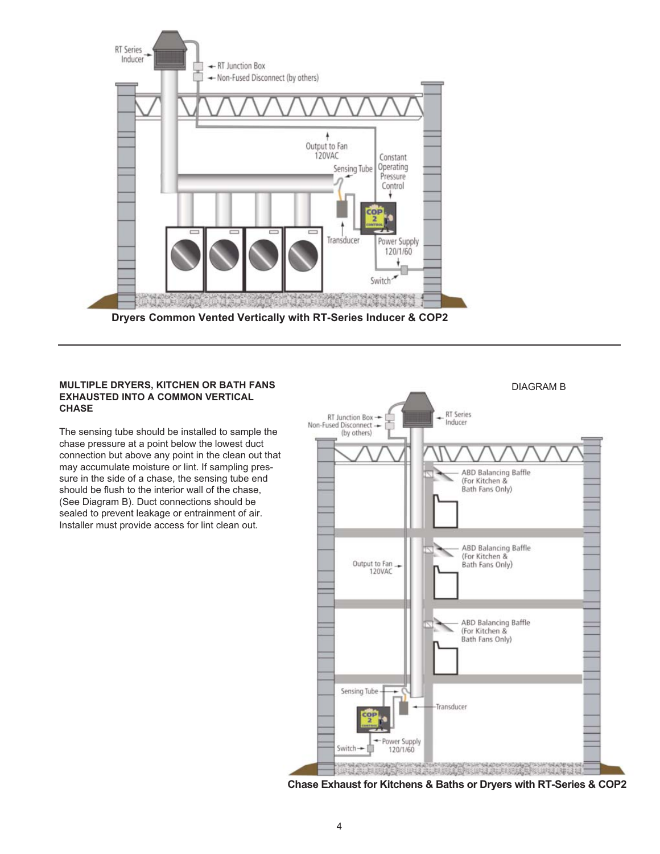

### **EXHAUSTED INTO A COMMON VERTICAL CHASE**

The sensing tube should be installed to sample the chase pressure at a point below the lowest duct connection but above any point in the clean out that may accumulate moisture or lint. If sampling pressure in the side of a chase, the sensing tube end should be flush to the interior wall of the chase, (See Diagram B). Duct connections should be sealed to prevent leakage or entrainment of air. Installer must provide access for lint clean out.



**Chase Exhaust for Kitchens & Baths or Dryers with RT-Series & COP2**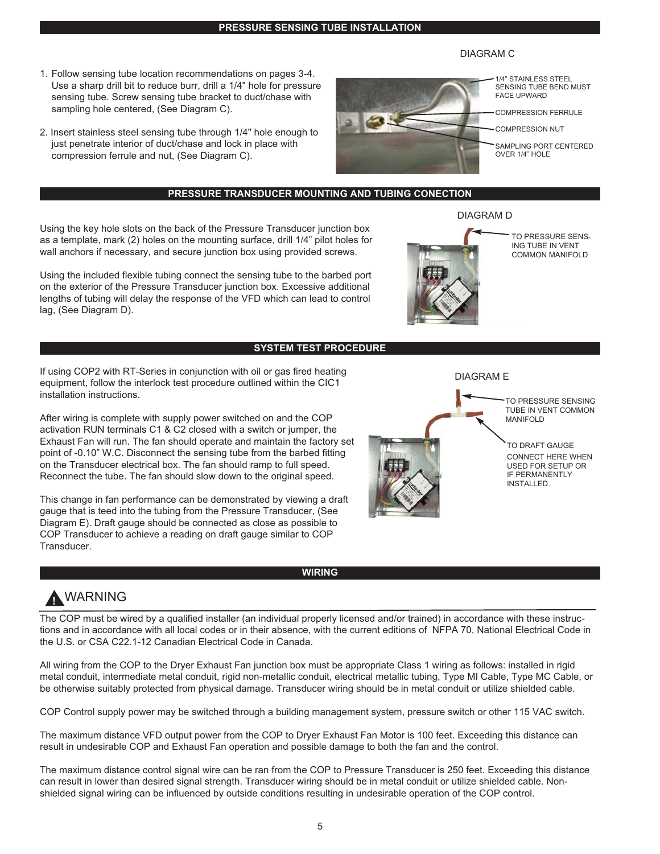**PRESSURE SENSING TUBE INSTALLATION**

#### DIAGRAM C

- 1. Follow sensing tube location recommendations on pages 3-4. Use a sharp drill bit to reduce burr, drill a 1/4" hole for pressure sensing tube. Screw sensing tube bracket to duct/chase with sampling hole centered, (See Diagram C).
- 2. Insert stainless steel sensing tube through 1/4" hole enough to just penetrate interior of duct/chase and lock in place with compression ferrule and nut, (See Diagram C).

#### **PRESSURE TRANSDUCER MOUNTING AND TUBING CONECTION**

Using the key hole slots on the back of the Pressure Transducer junction box as a template, mark (2) holes on the mounting surface, drill 1/4" pilot holes for wall anchors if necessary, and secure junction box using provided screws.

Using the included flexible tubing connect the sensing tube to the barbed port on the exterior of the Pressure Transducer junction box. Excessive additional lengths of tubing will delay the response of the VFD which can lead to control lag, (See Diagram D).

#### **SYSTEM TEST PROCEDURE**

If using COP2 with RT-Series in conjunction with oil or gas fired heating equipment, follow the interlock test procedure outlined within the CIC1 installation instructions.

After wiring is complete with supply power switched on and the COP activation RUN terminals C1 & C2 closed with a switch or jumper, the Exhaust Fan will run. The fan should operate and maintain the factory set point of -0.10" W.C. Disconnect the sensing tube from the barbed fitting on the Transducer electrical box. The fan should ramp to full speed. Reconnect the tube. The fan should slow down to the original speed.

This change in fan performance can be demonstrated by viewing a draft gauge that is teed into the tubing from the Pressure Transducer, (See Diagram E). Draft gauge should be connected as close as possible to COP Transducer to achieve a reading on draft gauge similar to COP Transducer.

**!** WARNING

The COP must be wired by a qualified installer (an individual properly licensed and/or trained) in accordance with these instructions and in accordance with all local codes or in their absence, with the current editions of NFPA 70, National Electrical Code in the U.S. or CSA C22.1-12 Canadian Electrical Code in Canada.

**WIRING**

All wiring from the COP to the Dryer Exhaust Fan junction box must be appropriate Class 1 wiring as follows: installed in rigid metal conduit, intermediate metal conduit, rigid non-metallic conduit, electrical metallic tubing, Type MI Cable, Type MC Cable, or be otherwise suitably protected from physical damage. Transducer wiring should be in metal conduit or utilize shielded cable.

COP Control supply power may be switched through a building management system, pressure switch or other 115 VAC switch.

The maximum distance VFD output power from the COP to Dryer Exhaust Fan Motor is 100 feet. Exceeding this distance can result in undesirable COP and Exhaust Fan operation and possible damage to both the fan and the control.

The maximum distance control signal wire can be ran from the COP to Pressure Transducer is 250 feet. Exceeding this distance can result in lower than desired signal strength. Transducer wiring should be in metal conduit or utilize shielded cable. Nonshielded signal wiring can be influenced by outside conditions resulting in undesirable operation of the COP control.

5



TO PRESSURE SENS-ING TUBE IN VENT COMMON MANIFOLD

1/4" STAINLESS STEEL SENSING TUBE BEND MUST

COMPRESSION FERRULE COMPRESSION NUT

SAMPLING PORT CENTERED

FACE UPWARD

OVER 1/4" HOLE





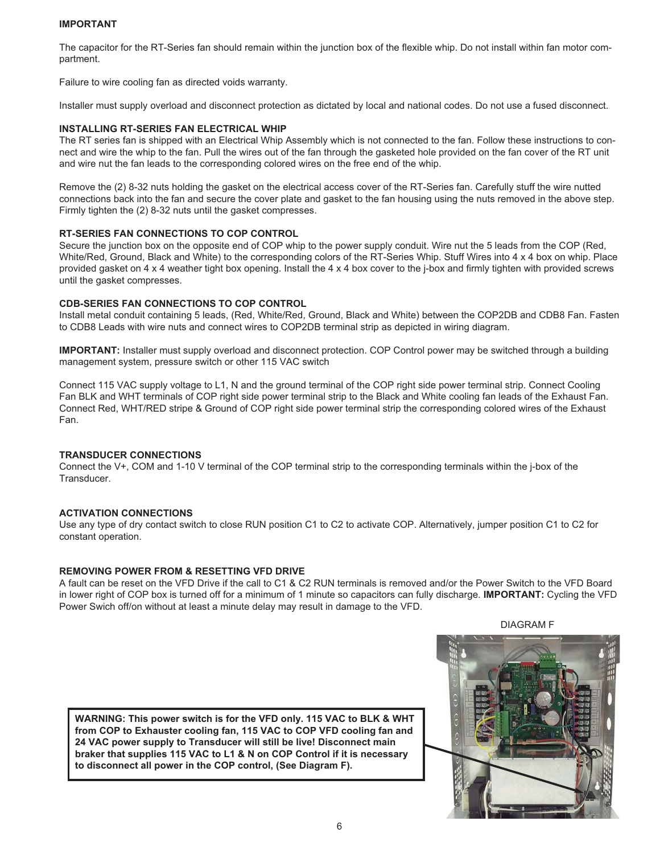#### **IMPORTANT**

The capacitor for the RT-Series fan should remain within the junction box of the flexible whip. Do not install within fan motor compartment.

Failure to wire cooling fan as directed voids warranty.

Installer must supply overload and disconnect protection as dictated by local and national codes. Do not use a fused disconnect.

#### **INSTALLING RT-SERIES FAN ELECTRICAL WHIP**

The RT series fan is shipped with an Electrical Whip Assembly which is not connected to the fan. Follow these instructions to connect and wire the whip to the fan. Pull the wires out of the fan through the gasketed hole provided on the fan cover of the RT unit and wire nut the fan leads to the corresponding colored wires on the free end of the whip.

Remove the (2) 8-32 nuts holding the gasket on the electrical access cover of the RT-Series fan. Carefully stuff the wire nutted connections back into the fan and secure the cover plate and gasket to the fan housing using the nuts removed in the above step. Firmly tighten the (2) 8-32 nuts until the gasket compresses.

#### **RT-SERIES FAN CONNECTIONS TO COP CONTROL**

Secure the junction box on the opposite end of COP whip to the power supply conduit. Wire nut the 5 leads from the COP (Red, White/Red, Ground, Black and White) to the corresponding colors of the RT-Series Whip. Stuff Wires into 4 x 4 box on whip. Place provided gasket on 4 x 4 weather tight box opening. Install the 4 x 4 box cover to the j-box and firmly tighten with provided screws until the gasket compresses.

#### **CDB-SERIES FAN CONNECTIONS TO COP CONTROL**

Install metal conduit containing 5 leads, (Red, White/Red, Ground, Black and White) between the COP2DB and CDB8 Fan. Fasten to CDB8 Leads with wire nuts and connect wires to COP2DB terminal strip as depicted in wiring diagram.

**IMPORTANT:** Installer must supply overload and disconnect protection. COP Control power may be switched through a building management system, pressure switch or other 115 VAC switch

Connect 115 VAC supply voltage to L1, N and the ground terminal of the COP right side power terminal strip. Connect Cooling Fan BLK and WHT terminals of COP right side power terminal strip to the Black and White cooling fan leads of the Exhaust Fan. Connect Red, WHT/RED stripe & Ground of COP right side power terminal strip the corresponding colored wires of the Exhaust Fan.

#### **TRANSDUCER CONNECTIONS**

Connect the V+, COM and 1-10 V terminal of the COP terminal strip to the corresponding terminals within the j-box of the Transducer.

#### **ACTIVATION CONNECTIONS**

Use any type of dry contact switch to close RUN position C1 to C2 to activate COP. Alternatively, jumper position C1 to C2 for constant operation.

#### **REMOVING POWER FROM & RESETTING VFD DRIVE**

A fault can be reset on the VFD Drive if the call to C1 & C2 RUN terminals is removed and/or the Power Switch to the VFD Board in lower right of COP box is turned off for a minimum of 1 minute so capacitors can fully discharge. **IMPORTANT:** Cycling the VFD Power Swich off/on without at least a minute delay may result in damage to the VFD.

DIAGRAM F

**WARNING: This power switch is for the VFD only. 115 VAC to BLK & WHT from COP to Exhauster cooling fan, 115 VAC to COP VFD cooling fan and 24 VAC power supply to Transducer will still be live! Disconnect main braker that supplies 115 VAC to L1 & N on COP Control if it is necessary to disconnect all power in the COP control, (See Diagram F).**

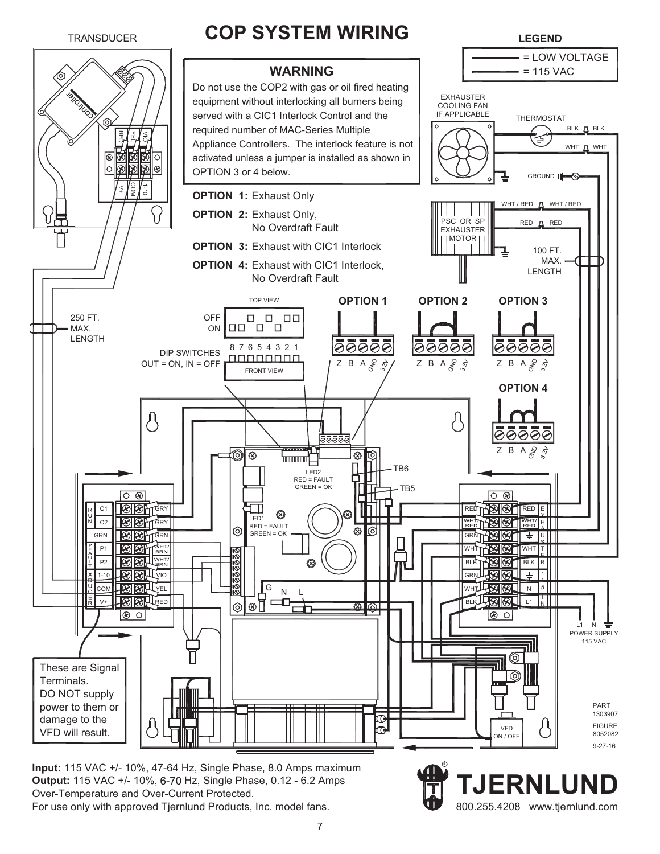

 115 VAC +/- 10%, 47-64 Hz, Single Phase, 8.0 Amps maximum **Input: Output:** 115 VAC +/- 10%, 6-70 Hz, Single Phase, 0.12 - 6.2 Amps Over-Temperature and Over-Current Protected. For use only with approved Tjernlund Products, Inc. model fans.

**TJERNLUND**<br>800.255.4208 www.tjernlund.com

R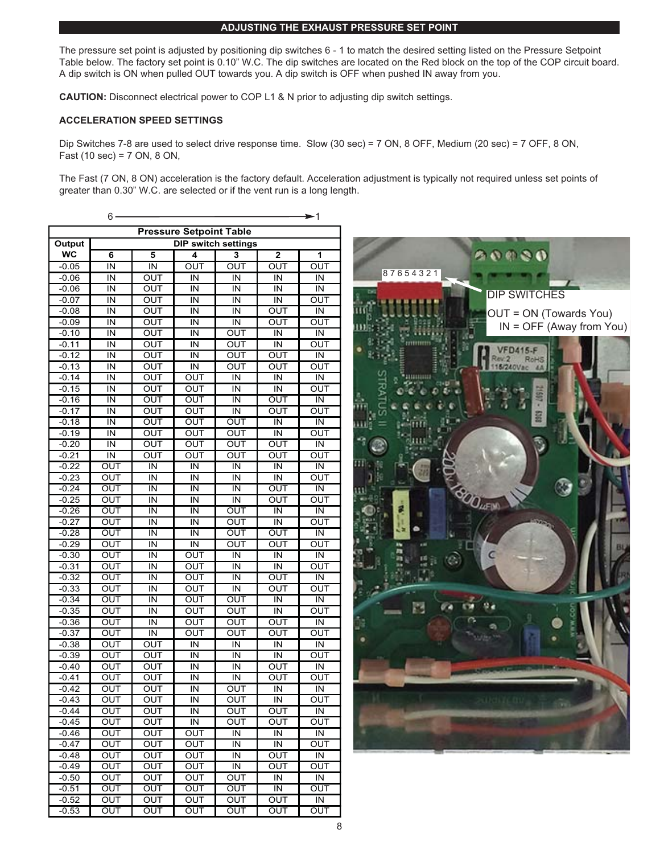#### **ADJUSTING THE EXHAUST PRESSURE SET POINT**

The pressure set point is adjusted by positioning dip switches 6 - 1 to match the desired setting listed on the Pressure Setpoint Table below. The factory set point is 0.10" W.C. The dip switches are located on the Red block on the top of the COP circuit board. A dip switch is ON when pulled OUT towards you. A dip switch is OFF when pushed IN away from you.

**CAUTION:** Disconnect electrical power to COP L1 & N prior to adjusting dip switch settings.

#### **ACCELERATION SPEED SETTINGS**

Dip Switches 7-8 are used to select drive response time. Slow (30 sec) = 7 ON, 8 OFF, Medium (20 sec) = 7 OFF, 8 ON, Fast (10 sec) = 7 ON, 8 ON,

The Fast (7 ON, 8 ON) acceleration is the factory default. Acceleration adjustment is typically not required unless set points of greater than 0.30" W.C. are selected or if the vent run is a long length.

|                                | 6                          |                         |                         |                         |                         | $\blacktriangleright$ 1 |
|--------------------------------|----------------------------|-------------------------|-------------------------|-------------------------|-------------------------|-------------------------|
| <b>Pressure Setpoint Table</b> |                            |                         |                         |                         |                         |                         |
| Output                         | <b>DIP switch settings</b> |                         |                         |                         |                         |                         |
| <b>WC</b>                      | 6                          | 5                       | 4                       | 3                       | $\overline{2}$          | 1                       |
| $-0.05$                        | IN                         | $\overline{\mathsf{I}}$ | OUT                     | OUT                     | OUT                     | OUT                     |
| $-0.06$                        | IN                         | OUT                     | IN                      | IN                      | IN                      | IN                      |
| $-0.06$                        | IN                         | OUT                     | IN                      | ΙN                      | IN                      | IN                      |
| $-0.07$                        | ΙN                         | OUT                     | ΙN                      | ΙN                      | IN                      | OUT                     |
| $-0.08$                        | ΙN                         | OUT                     | IN                      | IN                      | ΟUΤ                     | IN                      |
| -0.09                          | IN                         | ουτ                     | IN                      | IN                      | ουτ                     | OUT                     |
| $-0.10$                        | IN                         | OUT                     | IN                      | OUT                     | IN                      | IN                      |
| $-0.11$                        | IN                         | OUT                     | IN                      | OUT                     | $\overline{\mathsf{I}}$ | OUT                     |
| $-0.12$                        | IN                         | OUT                     | IN                      | OUT                     | OUT                     | IN                      |
| $-0.13$                        | IN                         | OUT                     | $\overline{\mathsf{I}}$ | OUT                     | OUT                     | OUT                     |
| $-0.14$                        | IN                         | OUT                     | OUT                     | IN                      | IN                      | IN                      |
| $-0.15$                        | IN                         | <b>OUT</b>              | OUT                     | ΙN                      | IN                      | OUT                     |
| -0.16                          | ΙN                         | ουτ                     | ουτ                     | ΙN                      | ουτ                     | IN                      |
| $-0.17$                        | IN                         | OUT                     | OUT                     | $\overline{\mathsf{N}}$ | OUT                     | OUT                     |
| $-0.18$                        | IN                         | OUT                     | OUT                     | $\overline{OUT}$        | IN                      | IN                      |
| $-0.19$                        | IN                         | OUT                     | <b>OUT</b>              | OUT                     | IN                      | OUT                     |
| $-0.20$                        | ΙN                         | OUT                     | OUT                     | OUT                     | OUT                     | IN                      |
| $-0.21$                        | IN                         | OUT                     | OUT                     | OUT                     | OUT                     | OUT                     |
| $-0.22$                        | OUT                        | IN                      | IN                      | ΙN                      | ΙN                      | IN                      |
| $-0.23$                        | OUT                        | IN                      | ΙN                      | ΙN                      | IN                      | OUT                     |
| $-0.24$                        | OUT                        | IN                      | IN                      | IN                      | ουτ                     | IN                      |
| $-0.25$                        | OUT                        | IN                      | IN                      | IN                      | OUT                     | OUT                     |
| $-0.26$                        | OUT<br>OUT                 | IN<br>IN                | IN<br>IN                | OUT                     | IN                      | IN<br>OUT               |
| $-0.27$<br>$-0.28$             | OUT                        | IN                      | IN                      | OUT<br>OUT              | IN<br>OUT               | IN                      |
| $-0.29$                        | $\overline{\text{out}}$    | IN                      | IN                      | OUT                     | OUT                     | OUT                     |
| $-0.30$                        | OUT                        | IN                      | OUT                     | IN                      | IN                      | ΙN                      |
| $-0.31$                        | OUT                        | IN                      | OUT                     | ΙN                      | IN                      | OUT                     |
| $-0.32$                        | $\overline{\text{OUT}}$    | IN                      | OUT                     | IN                      | OUT                     | IN                      |
| $-0.33$                        | OUT                        | IN                      | OUT                     | IN                      | OUT                     | OUT                     |
| $-0.34$                        | OUT                        | IN                      | OUT                     | OUT                     | IN                      | IN                      |
| $-0.35$                        | OUT                        | IN                      | OUT                     | OUT                     | IN                      | OUT                     |
| $-0.36$                        | $\overline{\text{out}}$    | IN                      | OUT                     | OUT                     | OUT                     | IN                      |
| $-0.37$                        | OUT                        | IN                      | OUT                     | OUT                     | OUT                     | OUT                     |
| $-0.38$                        | OUT                        | $\overline{OUT}$        | IN                      | IN                      | IN                      | IN                      |
| $-0.39$                        | OUT                        | OUT                     | IN                      | IN                      | $\overline{\mathsf{I}}$ | OUT                     |
| $-0.40$                        | $\overline{OUT}$           | OUT                     | IN                      | IN                      | OUT                     | IN                      |
| $-0.41$                        | OUT                        | OUT                     | IN                      | IN                      | ουτ                     | ουτ                     |
| $-0.42$                        | OUT                        | OUT                     | IN                      | OUT                     | IN                      | IN                      |
| $-0.43$                        | OUT                        | OUT                     | ΙN                      | OUT                     | IN                      | ουτ                     |
| -0.44                          | OUT                        | OUT                     | IN                      | OUT                     | OUT                     | IN                      |
| $-0.45$                        | OUT                        | OUT                     | IN                      | OUT                     | Ουτ                     | OUT                     |
| -0.46                          | Ουτ                        | OUT                     | ΟUΤ                     | IN                      | IN                      | ΙN                      |
| $-0.47$                        | $\overline{\text{OUT}}$    | OUT                     | OUT                     | IN                      | IN                      | OUT                     |
| $-0.48$                        | Ουτ                        | ΟUΤ                     | Ουτ                     | ΙN                      | ουτ                     | IN                      |
| $-0.49$                        | OUT                        | OUT                     | OUT                     | IN                      | OUT                     | ουτ                     |
| $-0.50$                        | OUT                        | OUT                     | OUT                     | OUT                     | IN                      | IN                      |
| $-0.51$                        | OUT                        | OUT                     | OUT                     | OUT                     | IN                      | OUT                     |
| $-0.52$                        | Ουτ                        | $\overline{OUT}$        | ουτ                     | OUT                     | OUT                     | IN                      |
| $-0.53$                        | OUT                        | ΟUΤ                     | ΟUΤ                     | OUT                     | OUT                     | ΟUΤ                     |

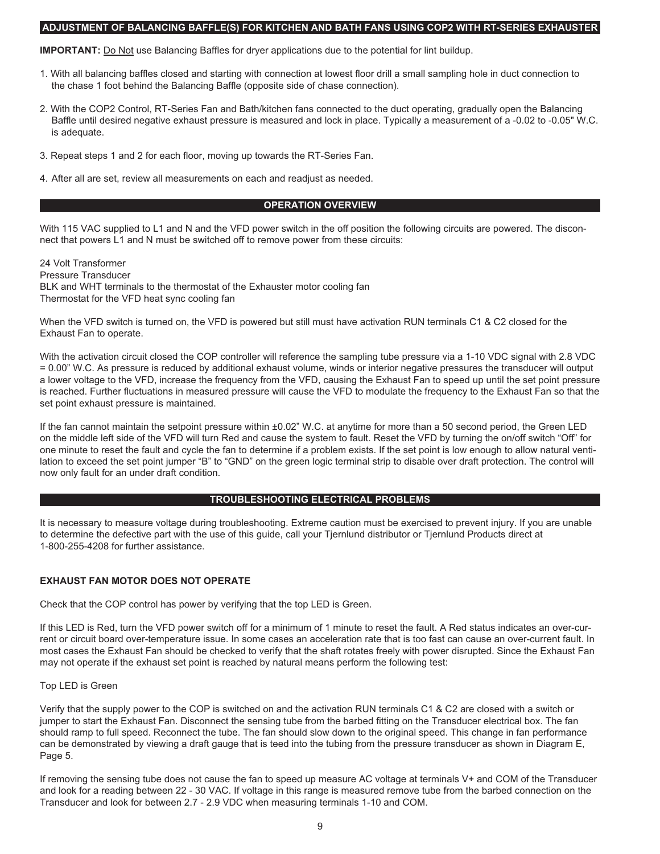#### **ADJUSTMENT OF BALANCING BAFFLE(S) FOR KITCHEN AND BATH FANS USING COP2 WITH RT-SERIES EXHAUSTER**

**IMPORTANT:** Do Not use Balancing Baffles for dryer applications due to the potential for lint buildup.

- 1. With all balancing baffles closed and starting with connection at lowest floor drill a small sampling hole in duct connection to the chase 1 foot behind the Balancing Baffle (opposite side of chase connection).
- 2. With the COP2 Control, RT-Series Fan and Bath/kitchen fans connected to the duct operating, gradually open the Balancing Baffle until desired negative exhaust pressure is measured and lock in place. Typically a measurement of a -0.02 to -0.05" W.C. is adequate.
- 3. Repeat steps 1 and 2 for each floor, moving up towards the RT-Series Fan.
- 4. After all are set, review all measurements on each and readjust as needed.

#### **OPERATION OVERVIEW**

With 115 VAC supplied to L1 and N and the VFD power switch in the off position the following circuits are powered. The disconnect that powers L1 and N must be switched off to remove power from these circuits:

24 Volt Transformer Pressure Transducer BLK and WHT terminals to the thermostat of the Exhauster motor cooling fan Thermostat for the VFD heat sync cooling fan

When the VFD switch is turned on, the VFD is powered but still must have activation RUN terminals C1 & C2 closed for the Exhaust Fan to operate.

With the activation circuit closed the COP controller will reference the sampling tube pressure via a 1-10 VDC signal with 2.8 VDC = 0.00" W.C. As pressure is reduced by additional exhaust volume, winds or interior negative pressures the transducer will output a lower voltage to the VFD, increase the frequency from the VFD, causing the Exhaust Fan to speed up until the set point pressure is reached. Further fluctuations in measured pressure will cause the VFD to modulate the frequency to the Exhaust Fan so that the set point exhaust pressure is maintained.

If the fan cannot maintain the setpoint pressure within ±0.02" W.C. at anytime for more than a 50 second period, the Green LED on the middle left side of the VFD will turn Red and cause the system to fault. Reset the VFD by turning the on/off switch "Off" for one minute to reset the fault and cycle the fan to determine if a problem exists. If the set point is low enough to allow natural ventilation to exceed the set point jumper "B" to "GND" on the green logic terminal strip to disable over draft protection. The control will now only fault for an under draft condition.

#### **TROUBLESHOOTING ELECTRICAL PROBLEMS**

It is necessary to measure voltage during troubleshooting. Extreme caution must be exercised to prevent injury. If you are unable to determine the defective part with the use of this guide, call your Tjernlund distributor or Tjernlund Products direct at 1-800-255-4208 for further assistance.

#### **EXHAUST FAN MOTOR DOES NOT OPERATE**

Check that the COP control has power by verifying that the top LED is Green.

If this LED is Red, turn the VFD power switch off for a minimum of 1 minute to reset the fault. A Red status indicates an over-current or circuit board over-temperature issue. In some cases an acceleration rate that is too fast can cause an over-current fault. In most cases the Exhaust Fan should be checked to verify that the shaft rotates freely with power disrupted. Since the Exhaust Fan may not operate if the exhaust set point is reached by natural means perform the following test:

#### Top LED is Green

Verify that the supply power to the COP is switched on and the activation RUN terminals C1 & C2 are closed with a switch or jumper to start the Exhaust Fan. Disconnect the sensing tube from the barbed fitting on the Transducer electrical box. The fan should ramp to full speed. Reconnect the tube. The fan should slow down to the original speed. This change in fan performance can be demonstrated by viewing a draft gauge that is teed into the tubing from the pressure transducer as shown in Diagram E, Page 5.

If removing the sensing tube does not cause the fan to speed up measure AC voltage at terminals V+ and COM of the Transducer and look for a reading between 22 - 30 VAC. If voltage in this range is measured remove tube from the barbed connection on the Transducer and look for between 2.7 - 2.9 VDC when measuring terminals 1-10 and COM.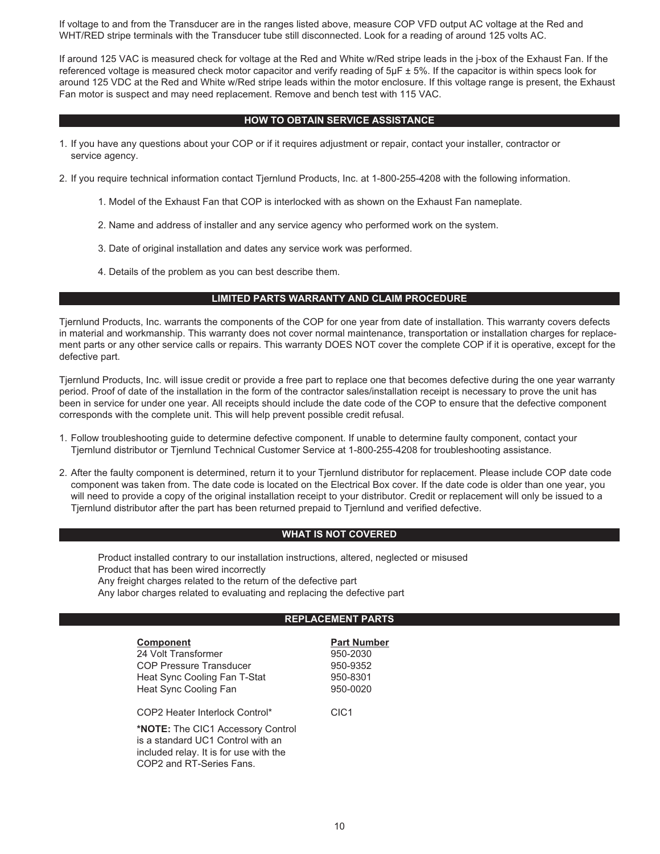If voltage to and from the Transducer are in the ranges listed above, measure COP VFD output AC voltage at the Red and WHT/RED stripe terminals with the Transducer tube still disconnected. Look for a reading of around 125 volts AC.

If around 125 VAC is measured check for voltage at the Red and White w/Red stripe leads in the j-box of the Exhaust Fan. If the referenced voltage is measured check motor capacitor and verify reading of 5µF ± 5%. If the capacitor is within specs look for around 125 VDC at the Red and White w/Red stripe leads within the motor enclosure. If this voltage range is present, the Exhaust Fan motor is suspect and may need replacement. Remove and bench test with 115 VAC.

#### **HOW TO OBTAIN SERVICE ASSISTANCE**

1. If you have any questions about your COP or if it requires adjustment or repair, contact your installer, contractor or service agency.

2. If you require technical information contact Tjernlund Products, Inc. at 1-800-255-4208 with the following information.

- 1. Model of the Exhaust Fan that COP is interlocked with as shown on the Exhaust Fan nameplate.
- 2. Name and address of installer and any service agency who performed work on the system.
- 3. Date of original installation and dates any service work was performed.
- 4. Details of the problem as you can best describe them.

#### **LIMITED PARTS WARRANTY AND CLAIM PROCEDURE**

Tjernlund Products, Inc. warrants the components of the COP for one year from date of installation. This warranty covers defects in material and workmanship. This warranty does not cover normal maintenance, transportation or installation charges for replacement parts or any other service calls or repairs. This warranty DOES NOT cover the complete COP if it is operative, except for the defective part.

Tjernlund Products, Inc. will issue credit or provide a free part to replace one that becomes defective during the one year warranty period. Proof of date of the installation in the form of the contractor sales/installation receipt is necessary to prove the unit has been in service for under one year. All receipts should include the date code of the COP to ensure that the defective component corresponds with the complete unit. This will help prevent possible credit refusal.

- 1. Follow troubleshooting guide to determine defective component. If unable to determine faulty component, contact your Tjernlund distributor or Tjernlund Technical Customer Service at 1-800-255-4208 for troubleshooting assistance.
- 2. After the faulty component is determined, return it to your Tjernlund distributor for replacement. Please include COP date code component was taken from. The date code is located on the Electrical Box cover. If the date code is older than one year, you will need to provide a copy of the original installation receipt to your distributor. Credit or replacement will only be issued to a Tjernlund distributor after the part has been returned prepaid to Tjernlund and verified defective.

#### **WHAT IS NOT COVERED**

Product installed contrary to our installation instructions, altered, neglected or misused Product that has been wired incorrectly Any freight charges related to the return of the defective part Any labor charges related to evaluating and replacing the defective part

#### **REPLACEMENT PARTS**

| <b>Component</b>                       | <b>Part Number</b> |
|----------------------------------------|--------------------|
| 24 Volt Transformer                    | 950-2030           |
| <b>COP Pressure Transducer</b>         | 950-9352           |
| Heat Sync Cooling Fan T-Stat           | 950-8301           |
| Heat Sync Cooling Fan                  | 950-0020           |
|                                        |                    |
| COP2 Heater Interlock Control*         | CIC <sub>1</sub>   |
| *NOTE: The CIC1 Accessory Control      |                    |
| is a standard UC1 Control with an      |                    |
| included relay. It is for use with the |                    |

COP2 and RT-Series Fans.